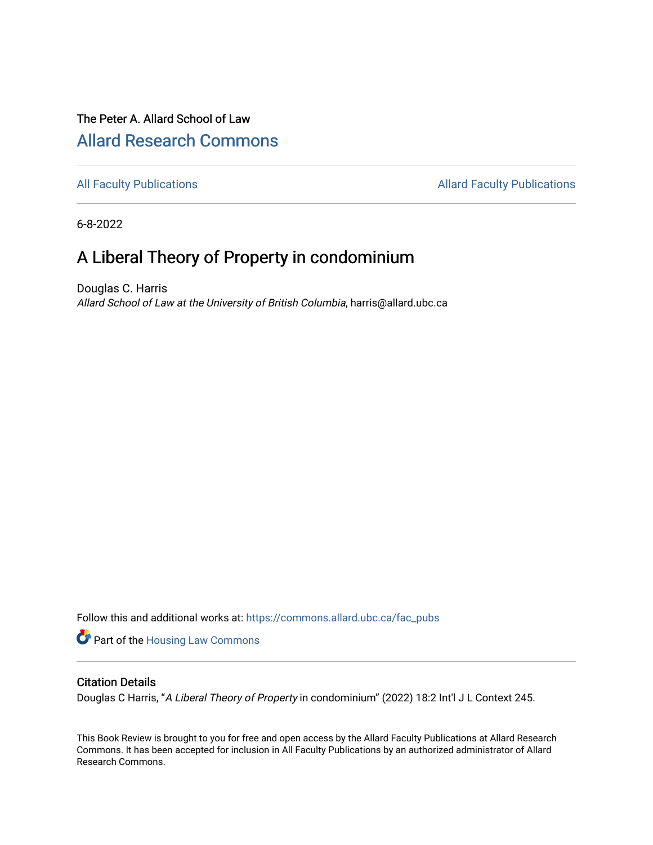## The Peter A. Allard School of Law [Allard Research Commons](https://commons.allard.ubc.ca/)

[All Faculty Publications](https://commons.allard.ubc.ca/fac_pubs) **Allard Faculty Publications Allard Faculty Publications** 

6-8-2022

# A Liberal Theory of Property in condominium

Douglas C. Harris Allard School of Law at the University of British Columbia, harris@allard.ubc.ca

Follow this and additional works at: [https://commons.allard.ubc.ca/fac\\_pubs](https://commons.allard.ubc.ca/fac_pubs?utm_source=commons.allard.ubc.ca%2Ffac_pubs%2F706&utm_medium=PDF&utm_campaign=PDFCoverPages)

**Part of the Housing Law Commons** 

#### Citation Details

Douglas C Harris, "A Liberal Theory of Property in condominium" (2022) 18:2 Int'l J L Context 245.

This Book Review is brought to you for free and open access by the Allard Faculty Publications at Allard Research Commons. It has been accepted for inclusion in All Faculty Publications by an authorized administrator of Allard Research Commons.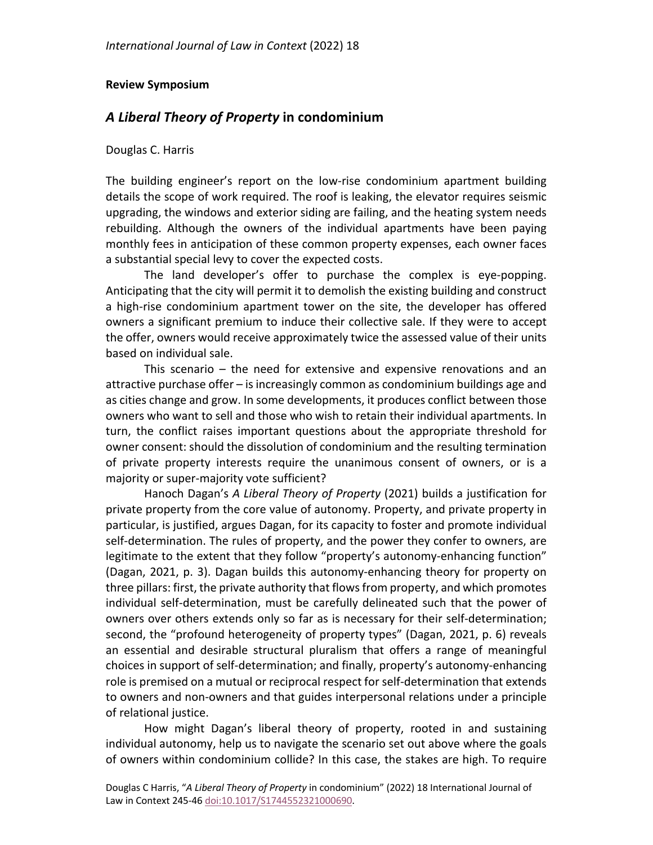#### **Review Symposium**

### *A Liberal Theory of Property* **in condominium**

Douglas C. Harris

The building engineer's report on the low-rise condominium apartment building details the scope of work required. The roof is leaking, the elevator requires seismic upgrading, the windows and exterior siding are failing, and the heating system needs rebuilding. Although the owners of the individual apartments have been paying monthly fees in anticipation of these common property expenses, each owner faces a substantial special levy to cover the expected costs.

The land developer's offer to purchase the complex is eye-popping. Anticipating that the city will permit it to demolish the existing building and construct a high-rise condominium apartment tower on the site, the developer has offered owners a significant premium to induce their collective sale. If they were to accept the offer, owners would receive approximately twice the assessed value of their units based on individual sale.

This scenario – the need for extensive and expensive renovations and an attractive purchase offer – is increasingly common as condominium buildings age and as cities change and grow. In some developments, it produces conflict between those owners who want to sell and those who wish to retain their individual apartments. In turn, the conflict raises important questions about the appropriate threshold for owner consent: should the dissolution of condominium and the resulting termination of private property interests require the unanimous consent of owners, or is a majority or super-majority vote sufficient?

Hanoch Dagan's *A Liberal Theory of Property* (2021) builds a justification for private property from the core value of autonomy. Property, and private property in particular, is justified, argues Dagan, for its capacity to foster and promote individual self-determination. The rules of property, and the power they confer to owners, are legitimate to the extent that they follow "property's autonomy-enhancing function" (Dagan, 2021, p. 3). Dagan builds this autonomy-enhancing theory for property on three pillars: first, the private authority that flows from property, and which promotes individual self-determination, must be carefully delineated such that the power of owners over others extends only so far as is necessary for their self-determination; second, the "profound heterogeneity of property types" (Dagan, 2021, p. 6) reveals an essential and desirable structural pluralism that offers a range of meaningful choices in support of self-determination; and finally, property's autonomy-enhancing role is premised on a mutual or reciprocal respect for self-determination that extends to owners and non-owners and that guides interpersonal relations under a principle of relational justice.

How might Dagan's liberal theory of property, rooted in and sustaining individual autonomy, help us to navigate the scenario set out above where the goals of owners within condominium collide? In this case, the stakes are high. To require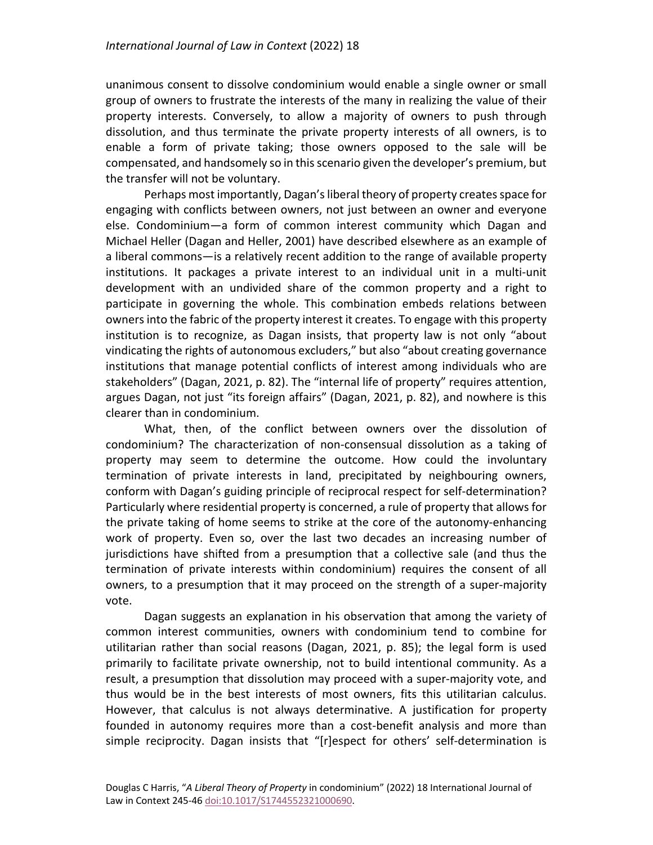unanimous consent to dissolve condominium would enable a single owner or small group of owners to frustrate the interests of the many in realizing the value of their property interests. Conversely, to allow a majority of owners to push through dissolution, and thus terminate the private property interests of all owners, is to enable a form of private taking; those owners opposed to the sale will be compensated, and handsomely so in this scenario given the developer's premium, but the transfer will not be voluntary.

Perhaps most importantly, Dagan's liberal theory of property creates space for engaging with conflicts between owners, not just between an owner and everyone else. Condominium—a form of common interest community which Dagan and Michael Heller (Dagan and Heller, 2001) have described elsewhere as an example of a liberal commons—is a relatively recent addition to the range of available property institutions. It packages a private interest to an individual unit in a multi-unit development with an undivided share of the common property and a right to participate in governing the whole. This combination embeds relations between owners into the fabric of the property interest it creates. To engage with this property institution is to recognize, as Dagan insists, that property law is not only "about vindicating the rights of autonomous excluders," but also "about creating governance institutions that manage potential conflicts of interest among individuals who are stakeholders" (Dagan, 2021, p. 82). The "internal life of property" requires attention, argues Dagan, not just "its foreign affairs" (Dagan, 2021, p. 82), and nowhere is this clearer than in condominium.

What, then, of the conflict between owners over the dissolution of condominium? The characterization of non-consensual dissolution as a taking of property may seem to determine the outcome. How could the involuntary termination of private interests in land, precipitated by neighbouring owners, conform with Dagan's guiding principle of reciprocal respect for self-determination? Particularly where residential property is concerned, a rule of property that allows for the private taking of home seems to strike at the core of the autonomy-enhancing work of property. Even so, over the last two decades an increasing number of jurisdictions have shifted from a presumption that a collective sale (and thus the termination of private interests within condominium) requires the consent of all owners, to a presumption that it may proceed on the strength of a super-majority vote.

Dagan suggests an explanation in his observation that among the variety of common interest communities, owners with condominium tend to combine for utilitarian rather than social reasons (Dagan, 2021, p. 85); the legal form is used primarily to facilitate private ownership, not to build intentional community. As a result, a presumption that dissolution may proceed with a super-majority vote, and thus would be in the best interests of most owners, fits this utilitarian calculus. However, that calculus is not always determinative. A justification for property founded in autonomy requires more than a cost-benefit analysis and more than simple reciprocity. Dagan insists that "[r]espect for others' self-determination is